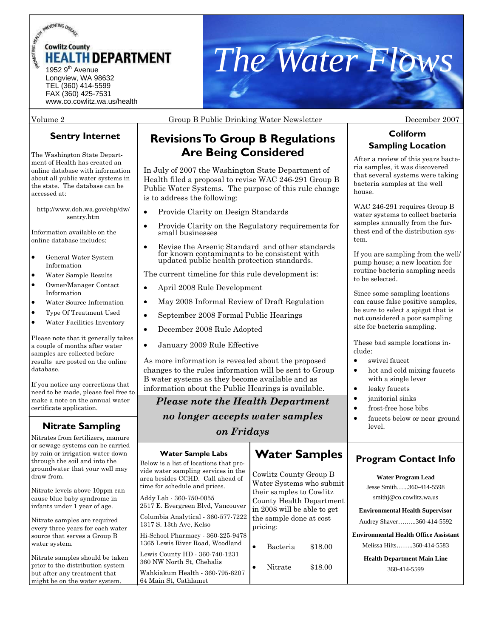



### Volume 2 Group B Public Drinking Water Newsletter December 2007

## **Sentry Internet**

The Washington State Department of Health has created an online database with information about all public water systems in the state. The database can be accessed at:

http://www.doh.wa.gov/ehp/dw/ sentry.htm

Information available on the online database includes:

- General Water System Information
- Water Sample Results
- Owner/Manager Contact Information
- Water Source Information
- Type Of Treatment Used
- Water Facilities Inventory

Please note that it generally takes a couple of months after water samples are collected before results are posted on the online database.

If you notice any corrections that need to be made, please feel free to make a note on the annual water certificate application.

## **Nitrate Sampling**

Nitrates from fertilizers, manure or sewage systems can be carried by rain or irrigation water down through the soil and into the groundwater that your well may draw from.

Nitrate levels above 10ppm can cause blue baby syndrome in infants under 1 year of age.

Nitrate samples are required every three years for each water source that serves a Group B water system.

Nitrate samples should be taken prior to the distribution system but after any treatment that might be on the water system.

## Revisions To Group B Regulations **Sampling Location Are Being Considered**

In July of 2007 the Washington State Department of Health filed a proposal to revise WAC 246-291 Group B Public Water Systems. The purpose of this rule change is to address the following:

- Provide Clarity on Design Standards
- Provide Clarity on the Regulatory requirements for small businesses
- Revise the Arsenic Standard and other standards for known contaminants to be consistent with updated public health protection standards.

The current timeline for this rule development is:

- April 2008 Rule Development
- May 2008 Informal Review of Draft Regulation
- September 2008 Formal Public Hearings
- December 2008 Rule Adopted
- January 2009 Rule Effective

As more information is revealed about the proposed changes to the rules information will be sent to Group B water systems as they become available and as information about the Public Hearings is available.

## *Please note the Health Department*

*no longer accepts water samples* 

## *on Fridays*

#### Below is a list of locations that provide water sampling services in the area besides CCHD. Call ahead of time for schedule and prices. Addy Lab - 360-750-0055 2517 E. Evergreen Blvd, Vancouver Columbia Analytical - 360-577-7222 1317 S. 13th Ave, Kelso Hi-School Pharmacy - 360-225-9478 1365 Lewis River Road, Woodland Lewis County HD - 360-740-1231 360 NW North St, Chehalis Wahkiakum Health - 360-795-6207 64 Main St, Cathlamet **Water Sample Labs Water Samples Water Program Lead**  smithj@co.cowlitz.wa.us 360-414-5599 Cowlitz County Group B Water Systems who submit their samples to Cowlitz County Health Department in 2008 will be able to get the sample done at cost pricing: • Bacteria \$18.00 Nitrate  $$18.00$

# **Coliform**

After a review of this years bacteria samples, it was discovered that several systems were taking bacteria samples at the well house.

WAC 246-291 requires Group B water systems to collect bacteria samples annually from the furthest end of the distribution system.

If you are sampling from the well/ pump house; a new location for routine bacteria sampling needs to be selected.

Since some sampling locations can cause false positive samples, be sure to select a spigot that is not considered a poor sampling site for bacteria sampling.

These bad sample locations include:

- swivel faucet.
- hot and cold mixing faucets with a single lever
- leaky faucets
- janitorial sinks
	- frost-free hose bibs
	- faucets below or near ground level.

## **Program Contact Info**

Jesse Smith…...360-414-5598 **Environmental Health Supervisor**  Audrey Shaver……...360-414-5592

**Environmental Health Office Assistant**  Melissa Hilts……..360-414-5583

**Health Department Main Line**